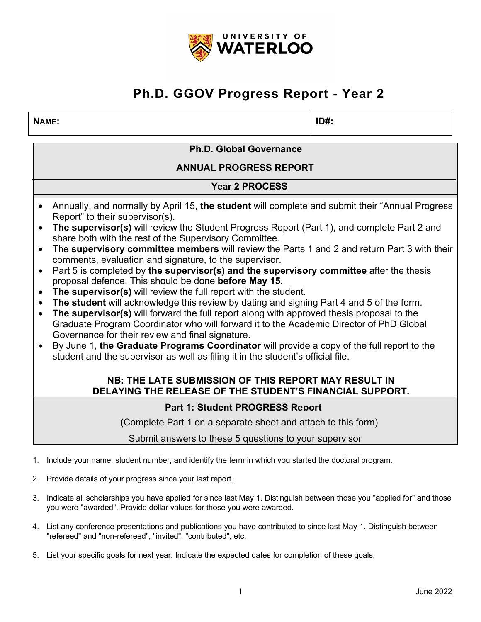

#### **NAME: ID#:**

**Ph.D. Global Governance**

**ANNUAL PROGRESS REPORT**

### **Year 2 PROCESS**

- Annually, and normally by April 15, **the student** will complete and submit their "Annual Progress Report" to their supervisor(s).
- **The supervisor(s)** will review the Student Progress Report (Part 1), and complete Part 2 and share both with the rest of the Supervisory Committee.
- The **supervisory committee members** will review the Parts 1 and 2 and return Part 3 with their comments, evaluation and signature, to the supervisor.
- Part 5 is completed by **the supervisor(s) and the supervisory committee** after the thesis proposal defence. This should be done **before May 15.**
- **The supervisor(s)** will review the full report with the student.
- **The student** will acknowledge this review by dating and signing Part 4 and 5 of the form.
- **The supervisor(s)** will forward the full report along with approved thesis proposal to the Graduate Program Coordinator who will forward it to the Academic Director of PhD Global Governance for their review and final signature.
- By June 1, **the Graduate Programs Coordinator** will provide a copy of the full report to the student and the supervisor as well as filing it in the student's official file.

### **NB: THE LATE SUBMISSION OF THIS REPORT MAY RESULT IN DELAYING THE RELEASE OF THE STUDENT'S FINANCIAL SUPPORT.**

### **Part 1: Student PROGRESS Report**

(Complete Part 1 on a separate sheet and attach to this form)

Submit answers to these 5 questions to your supervisor

- 1. Include your name, student number, and identify the term in which you started the doctoral program.
- 2. Provide details of your progress since your last report.
- 3. Indicate all scholarships you have applied for since last May 1. Distinguish between those you "applied for" and those you were "awarded". Provide dollar values for those you were awarded.
- 4. List any conference presentations and publications you have contributed to since last May 1. Distinguish between "refereed" and "non-refereed", "invited", "contributed", etc.
- 5. List your specific goals for next year. Indicate the expected dates for completion of these goals.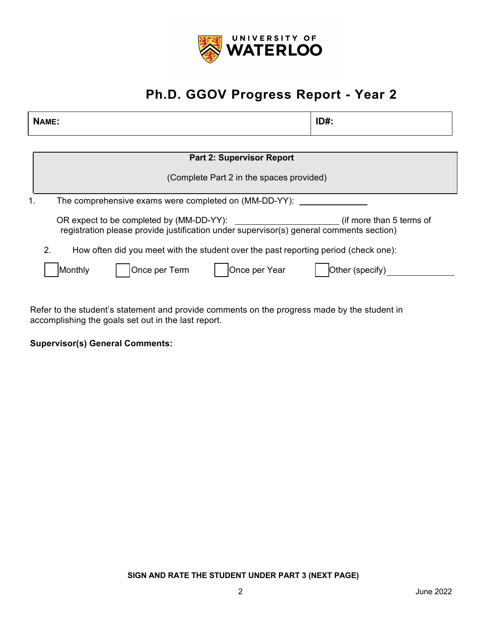

| NAME:                                                                                                               | $ID#$ :         |  |
|---------------------------------------------------------------------------------------------------------------------|-----------------|--|
|                                                                                                                     |                 |  |
| <b>Part 2: Supervisor Report</b>                                                                                    |                 |  |
| (Complete Part 2 in the spaces provided)                                                                            |                 |  |
| The comprehensive exams were completed on (MM-DD-YY):<br>1.                                                         |                 |  |
| (if more than 5 terms of<br>registration please provide justification under supervisor(s) general comments section) |                 |  |
| How often did you meet with the student over the past reporting period (check one):<br>2.                           |                 |  |
| Once per Term<br>Once per Year<br>Monthly                                                                           | Other (specify) |  |

Refer to the student's statement and provide comments on the progress made by the student in accomplishing the goals set out in the last report.

### **Supervisor(s) General Comments:**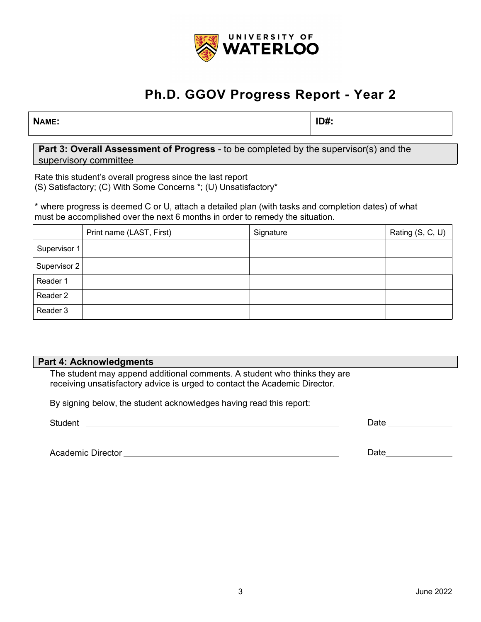

**NAME: ID#:**

**Part 3: Overall Assessment of Progress** - to be completed by the supervisor(s) and the supervisory committee

Rate this student's overall progress since the last report (S) Satisfactory; (C) With Some Concerns \*; (U) Unsatisfactory\*

\* where progress is deemed C or U, attach a detailed plan (with tasks and completion dates) of what must be accomplished over the next 6 months in order to remedy the situation.

|              | Print name (LAST, First) | Signature | Rating (S, C, U) |
|--------------|--------------------------|-----------|------------------|
| Supervisor 1 |                          |           |                  |
| Supervisor 2 |                          |           |                  |
| Reader 1     |                          |           |                  |
| Reader 2     |                          |           |                  |
| Reader 3     |                          |           |                  |

#### **Part 4: Acknowledgments**

The student may append additional comments. A student who thinks they are receiving unsatisfactory advice is urged to contact the Academic Director.

By signing below, the student acknowledges having read this report:

Student **Student Student Student Student** *Student* 

Date and the state of the state of the state of the state of the state of the state of the state of the state of the state of the state of the state of the state of the state of the state of the state of the state of the s

Academic Director Date